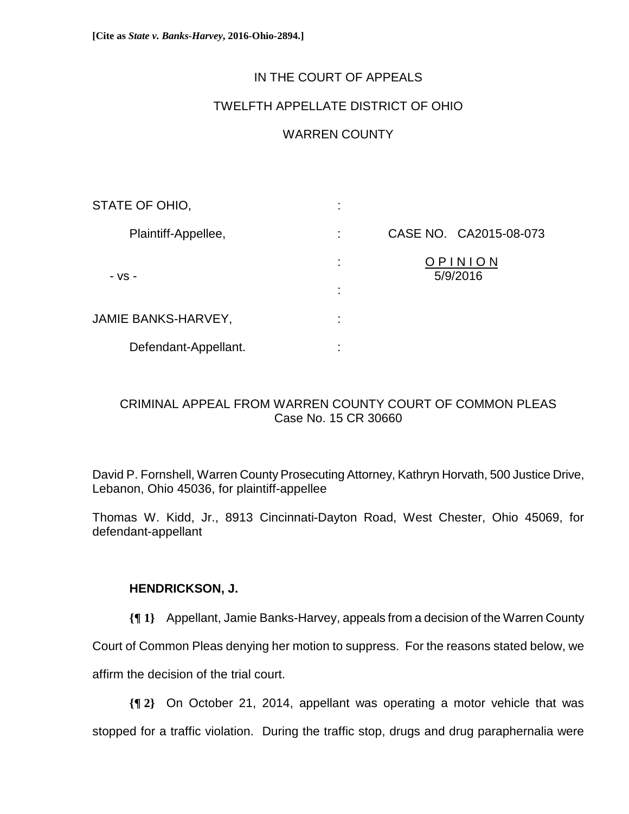# IN THE COURT OF APPEALS

# TWELFTH APPELLATE DISTRICT OF OHIO

# WARREN COUNTY

| STATE OF OHIO,             | ٠<br>٠.             |                        |
|----------------------------|---------------------|------------------------|
| Plaintiff-Appellee,        | ÷                   | CASE NO. CA2015-08-073 |
| - VS -                     | ÷<br>٠              | OPINION<br>5/9/2016    |
| <b>JAMIE BANKS-HARVEY,</b> | ٠<br>$\blacksquare$ |                        |
| Defendant-Appellant.       | ٠<br>$\blacksquare$ |                        |

# CRIMINAL APPEAL FROM WARREN COUNTY COURT OF COMMON PLEAS Case No. 15 CR 30660

David P. Fornshell, Warren County Prosecuting Attorney, Kathryn Horvath, 500 Justice Drive, Lebanon, Ohio 45036, for plaintiff-appellee

Thomas W. Kidd, Jr., 8913 Cincinnati-Dayton Road, West Chester, Ohio 45069, for defendant-appellant

# **HENDRICKSON, J.**

**{¶ 1}** Appellant, Jamie Banks-Harvey, appeals from a decision of the Warren County

Court of Common Pleas denying her motion to suppress. For the reasons stated below, we

affirm the decision of the trial court.

**{¶ 2}** On October 21, 2014, appellant was operating a motor vehicle that was

stopped for a traffic violation. During the traffic stop, drugs and drug paraphernalia were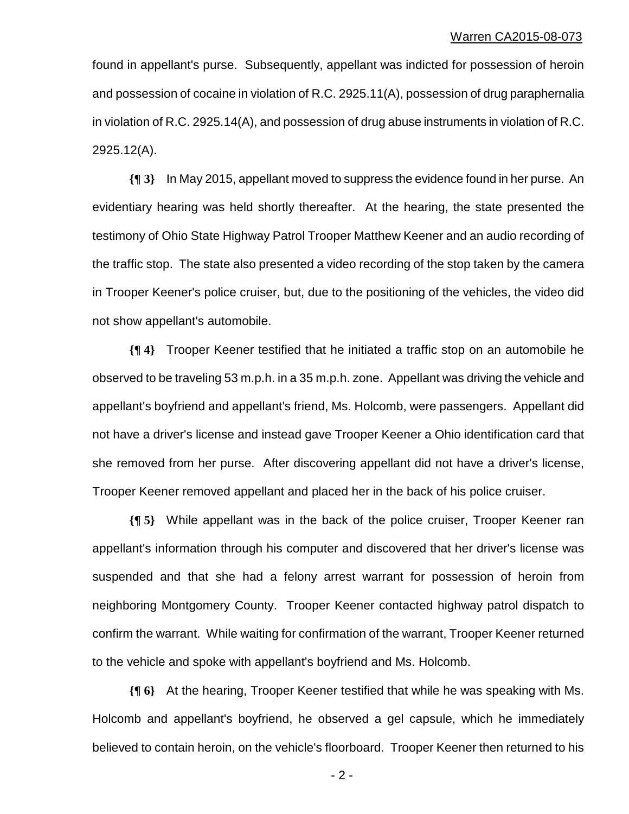found in appellant's purse. Subsequently, appellant was indicted for possession of heroin and possession of cocaine in violation of R.C. 2925.11(A), possession of drug paraphernalia in violation of R.C. 2925.14(A), and possession of drug abuse instruments in violation of R.C. 2925.12(A).

**{¶ 3}** In May 2015, appellant moved to suppress the evidence found in her purse. An evidentiary hearing was held shortly thereafter. At the hearing, the state presented the testimony of Ohio State Highway Patrol Trooper Matthew Keener and an audio recording of the traffic stop. The state also presented a video recording of the stop taken by the camera in Trooper Keener's police cruiser, but, due to the positioning of the vehicles, the video did not show appellant's automobile.

**{¶ 4}** Trooper Keener testified that he initiated a traffic stop on an automobile he observed to be traveling 53 m.p.h. in a 35 m.p.h. zone. Appellant was driving the vehicle and appellant's boyfriend and appellant's friend, Ms. Holcomb, were passengers. Appellant did not have a driver's license and instead gave Trooper Keener a Ohio identification card that she removed from her purse. After discovering appellant did not have a driver's license, Trooper Keener removed appellant and placed her in the back of his police cruiser.

**{¶ 5}** While appellant was in the back of the police cruiser, Trooper Keener ran appellant's information through his computer and discovered that her driver's license was suspended and that she had a felony arrest warrant for possession of heroin from neighboring Montgomery County. Trooper Keener contacted highway patrol dispatch to confirm the warrant. While waiting for confirmation of the warrant, Trooper Keener returned to the vehicle and spoke with appellant's boyfriend and Ms. Holcomb.

**{¶ 6}** At the hearing, Trooper Keener testified that while he was speaking with Ms. Holcomb and appellant's boyfriend, he observed a gel capsule, which he immediately believed to contain heroin, on the vehicle's floorboard. Trooper Keener then returned to his

 $-2$  -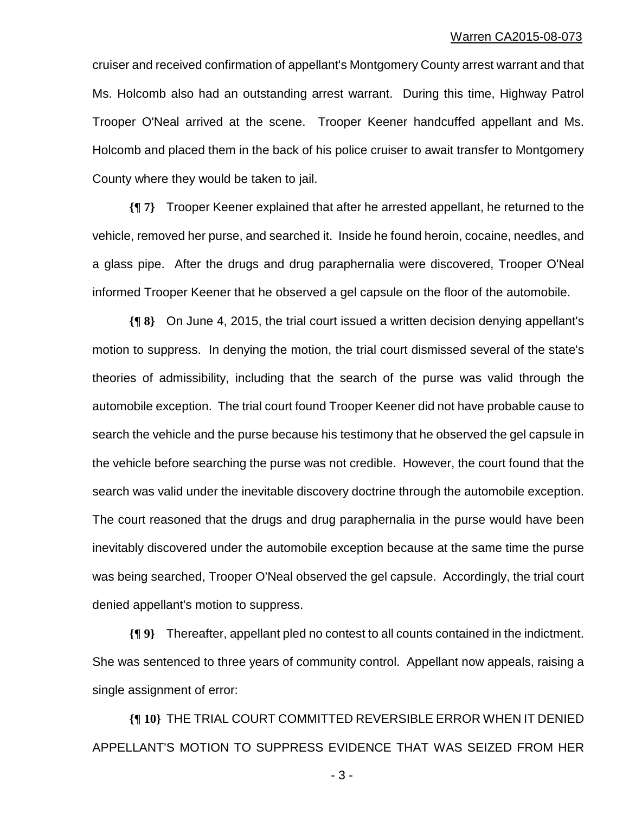cruiser and received confirmation of appellant's Montgomery County arrest warrant and that Ms. Holcomb also had an outstanding arrest warrant. During this time, Highway Patrol Trooper O'Neal arrived at the scene. Trooper Keener handcuffed appellant and Ms. Holcomb and placed them in the back of his police cruiser to await transfer to Montgomery County where they would be taken to jail.

**{¶ 7}** Trooper Keener explained that after he arrested appellant, he returned to the vehicle, removed her purse, and searched it. Inside he found heroin, cocaine, needles, and a glass pipe. After the drugs and drug paraphernalia were discovered, Trooper O'Neal informed Trooper Keener that he observed a gel capsule on the floor of the automobile.

**{¶ 8}** On June 4, 2015, the trial court issued a written decision denying appellant's motion to suppress. In denying the motion, the trial court dismissed several of the state's theories of admissibility, including that the search of the purse was valid through the automobile exception. The trial court found Trooper Keener did not have probable cause to search the vehicle and the purse because his testimony that he observed the gel capsule in the vehicle before searching the purse was not credible. However, the court found that the search was valid under the inevitable discovery doctrine through the automobile exception. The court reasoned that the drugs and drug paraphernalia in the purse would have been inevitably discovered under the automobile exception because at the same time the purse was being searched, Trooper O'Neal observed the gel capsule. Accordingly, the trial court denied appellant's motion to suppress.

**{¶ 9}** Thereafter, appellant pled no contest to all counts contained in the indictment. She was sentenced to three years of community control. Appellant now appeals, raising a single assignment of error:

**{¶ 10}** THE TRIAL COURT COMMITTED REVERSIBLE ERROR WHEN IT DENIED APPELLANT'S MOTION TO SUPPRESS EVIDENCE THAT WAS SEIZED FROM HER

 $-3 -$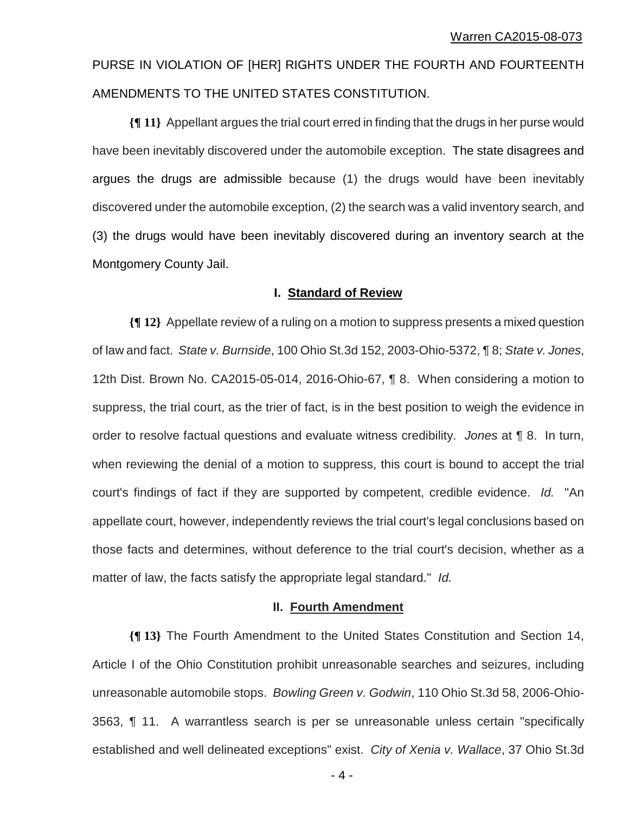PURSE IN VIOLATION OF [HER] RIGHTS UNDER THE FOURTH AND FOURTEENTH AMENDMENTS TO THE UNITED STATES CONSTITUTION.

**{¶ 11}** Appellant argues the trial court erred in finding that the drugs in her purse would have been inevitably discovered under the automobile exception. The state disagrees and argues the drugs are admissible because (1) the drugs would have been inevitably discovered under the automobile exception, (2) the search was a valid inventory search, and (3) the drugs would have been inevitably discovered during an inventory search at the Montgomery County Jail.

## **I. Standard of Review**

**{¶ 12}** Appellate review of a ruling on a motion to suppress presents a mixed question of law and fact. *State v. Burnside*, 100 Ohio St.3d 152, 2003-Ohio-5372, ¶ 8; *State v. Jones*, 12th Dist. Brown No. CA2015-05-014, 2016-Ohio-67, ¶ 8. When considering a motion to suppress, the trial court, as the trier of fact, is in the best position to weigh the evidence in order to resolve factual questions and evaluate witness credibility. *Jones* at ¶ 8. In turn, when reviewing the denial of a motion to suppress, this court is bound to accept the trial court's findings of fact if they are supported by competent, credible evidence. *Id.* "An appellate court, however, independently reviews the trial court's legal conclusions based on those facts and determines, without deference to the trial court's decision, whether as a matter of law, the facts satisfy the appropriate legal standard." *Id.* 

## **II. Fourth Amendment**

**{¶ 13}** The Fourth Amendment to the United States Constitution and Section 14, Article I of the Ohio Constitution prohibit unreasonable searches and seizures, including unreasonable automobile stops. *Bowling Green v. Godwin*, 110 Ohio St.3d 58, 2006-Ohio-3563, ¶ 11. A warrantless search is per se unreasonable unless certain "specifically established and well delineated exceptions" exist. *City of Xenia v. Wallace*, 37 Ohio St.3d

 $-4-$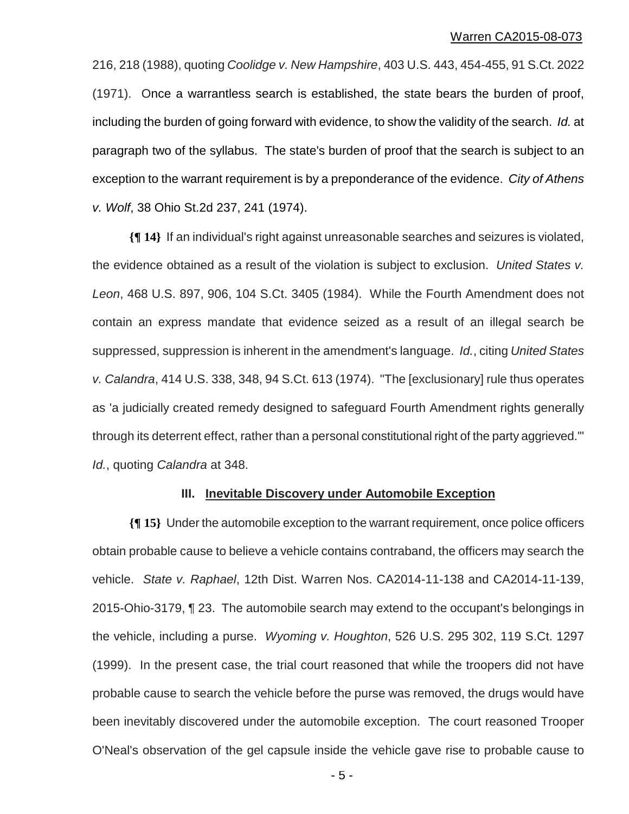216, 218 (1988), quoting *Coolidge v. New Hampshire*, 403 U.S. 443, 454-455, 91 S.Ct. 2022 (1971). Once a warrantless search is established, the state bears the burden of proof, including the burden of going forward with evidence, to show the validity of the search. *Id.* at paragraph two of the syllabus. The state's burden of proof that the search is subject to an exception to the warrant requirement is by a preponderance of the evidence. *City of Athens v. Wolf*, 38 Ohio St.2d 237, 241 (1974).

**{¶ 14}** If an individual's right against unreasonable searches and seizures is violated, the evidence obtained as a result of the violation is subject to exclusion. *United States v. Leon*, 468 U.S. 897, 906, 104 S.Ct. 3405 (1984). While the Fourth Amendment does not contain an express mandate that evidence seized as a result of an illegal search be suppressed, suppression is inherent in the amendment's language. *Id.*, citing *United States v. Calandra*, 414 U.S. 338, 348, 94 S.Ct. 613 (1974). "The [exclusionary] rule thus operates as 'a judicially created remedy designed to safeguard Fourth Amendment rights generally through its deterrent effect, rather than a personal constitutional right of the party aggrieved.'" *Id.*, quoting *Calandra* at 348.

### **III. Inevitable Discovery under Automobile Exception**

**{¶ 15}** Under the automobile exception to the warrant requirement, once police officers obtain probable cause to believe a vehicle contains contraband, the officers may search the vehicle. *State v. Raphael*, 12th Dist. Warren Nos. CA2014-11-138 and CA2014-11-139, 2015-Ohio-3179, ¶ 23. The automobile search may extend to the occupant's belongings in the vehicle, including a purse. *Wyoming v. Houghton*, 526 U.S. 295 302, 119 S.Ct. 1297 (1999). In the present case, the trial court reasoned that while the troopers did not have probable cause to search the vehicle before the purse was removed, the drugs would have been inevitably discovered under the automobile exception. The court reasoned Trooper O'Neal's observation of the gel capsule inside the vehicle gave rise to probable cause to

 $-5 -$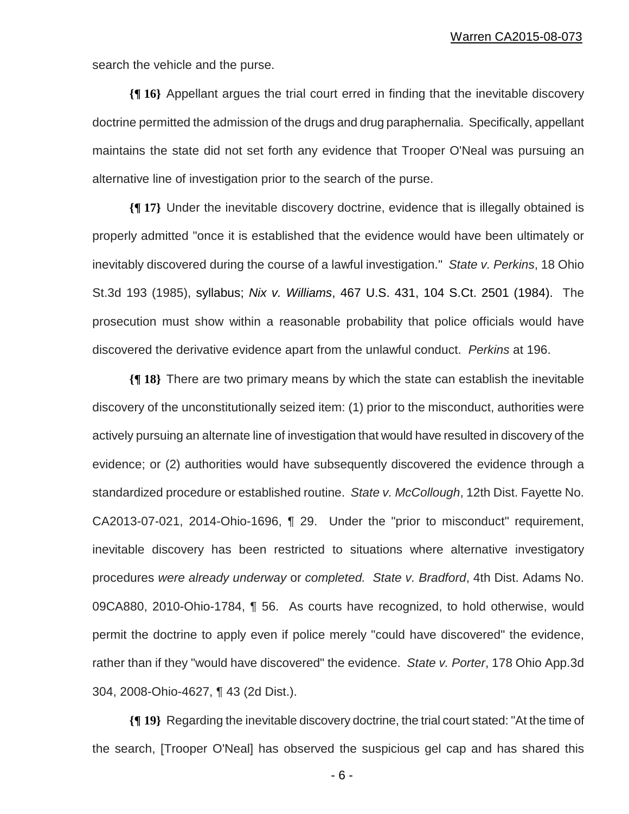search the vehicle and the purse.

**{¶ 16}** Appellant argues the trial court erred in finding that the inevitable discovery doctrine permitted the admission of the drugs and drug paraphernalia. Specifically, appellant maintains the state did not set forth any evidence that Trooper O'Neal was pursuing an alternative line of investigation prior to the search of the purse.

**{¶ 17}** Under the inevitable discovery doctrine, evidence that is illegally obtained is properly admitted "once it is established that the evidence would have been ultimately or inevitably discovered during the course of a lawful investigation." *State v. Perkins*, 18 Ohio St.3d 193 (1985), syllabus; *Nix v. Williams*, 467 U.S. 431, 104 S.Ct. 2501 (1984). The prosecution must show within a reasonable probability that police officials would have discovered the derivative evidence apart from the unlawful conduct. *Perkins* at 196.

**{¶ 18}** There are two primary means by which the state can establish the inevitable discovery of the unconstitutionally seized item: (1) prior to the misconduct, authorities were actively pursuing an alternate line of investigation that would have resulted in discovery of the evidence; or (2) authorities would have subsequently discovered the evidence through a standardized procedure or established routine. *State v. McCollough*, 12th Dist. Fayette No. CA2013-07-021, 2014-Ohio-1696, ¶ 29. Under the "prior to misconduct" requirement, inevitable discovery has been restricted to situations where alternative investigatory procedures *were already underway* or *completed. State v. Bradford*, 4th Dist. Adams No. 09CA880, 2010-Ohio-1784, ¶ 56. As courts have recognized, to hold otherwise, would permit the doctrine to apply even if police merely "could have discovered" the evidence, rather than if they "would have discovered" the evidence. *State v. Porter*, 178 Ohio App.3d 304, 2008-Ohio-4627, ¶ 43 (2d Dist.).

**{¶ 19}** Regarding the inevitable discovery doctrine, the trial court stated: "At the time of the search, [Trooper O'Neal] has observed the suspicious gel cap and has shared this

- 6 -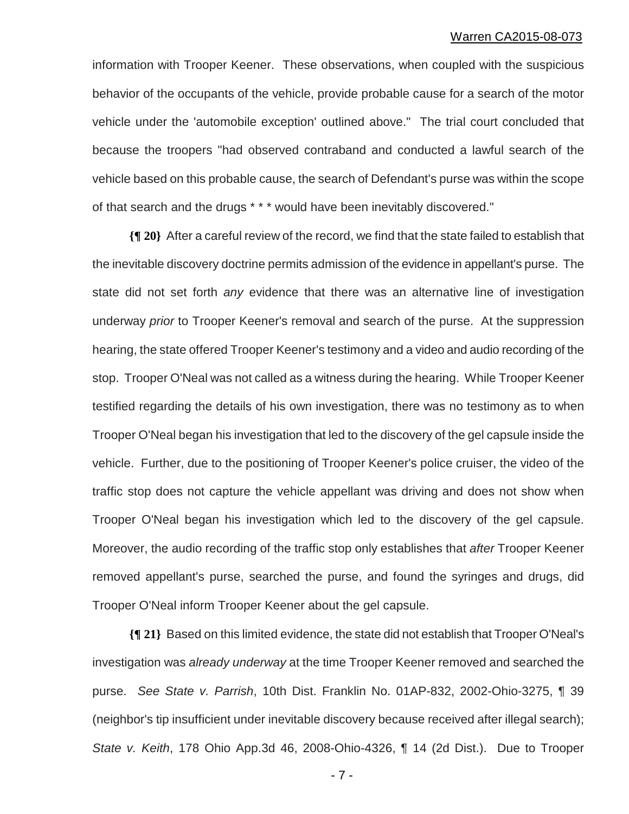information with Trooper Keener. These observations, when coupled with the suspicious behavior of the occupants of the vehicle, provide probable cause for a search of the motor vehicle under the 'automobile exception' outlined above." The trial court concluded that because the troopers "had observed contraband and conducted a lawful search of the vehicle based on this probable cause, the search of Defendant's purse was within the scope of that search and the drugs \* \* \* would have been inevitably discovered."

**{¶ 20}** After a careful review of the record, we find that the state failed to establish that the inevitable discovery doctrine permits admission of the evidence in appellant's purse. The state did not set forth *any* evidence that there was an alternative line of investigation underway *prior* to Trooper Keener's removal and search of the purse. At the suppression hearing, the state offered Trooper Keener's testimony and a video and audio recording of the stop. Trooper O'Neal was not called as a witness during the hearing. While Trooper Keener testified regarding the details of his own investigation, there was no testimony as to when Trooper O'Neal began his investigation that led to the discovery of the gel capsule inside the vehicle. Further, due to the positioning of Trooper Keener's police cruiser, the video of the traffic stop does not capture the vehicle appellant was driving and does not show when Trooper O'Neal began his investigation which led to the discovery of the gel capsule. Moreover, the audio recording of the traffic stop only establishes that *after* Trooper Keener removed appellant's purse, searched the purse, and found the syringes and drugs, did Trooper O'Neal inform Trooper Keener about the gel capsule.

**{¶ 21}** Based on this limited evidence, the state did not establish that Trooper O'Neal's investigation was *already underway* at the time Trooper Keener removed and searched the purse. *See State v. Parrish*, 10th Dist. Franklin No. 01AP-832, 2002-Ohio-3275, ¶ 39 (neighbor's tip insufficient under inevitable discovery because received after illegal search); *State v. Keith*, 178 Ohio App.3d 46, 2008-Ohio-4326, ¶ 14 (2d Dist.). Due to Trooper

- 7 -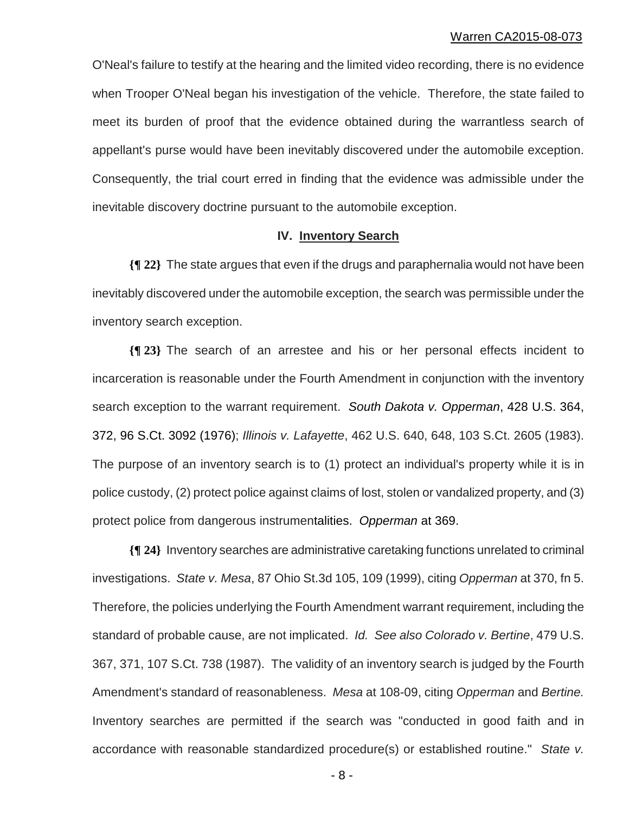O'Neal's failure to testify at the hearing and the limited video recording, there is no evidence when Trooper O'Neal began his investigation of the vehicle. Therefore, the state failed to meet its burden of proof that the evidence obtained during the warrantless search of appellant's purse would have been inevitably discovered under the automobile exception. Consequently, the trial court erred in finding that the evidence was admissible under the inevitable discovery doctrine pursuant to the automobile exception.

## **IV. Inventory Search**

**{¶ 22}** The state argues that even if the drugs and paraphernalia would not have been inevitably discovered under the automobile exception, the search was permissible under the inventory search exception.

**{¶ 23}** The search of an arrestee and his or her personal effects incident to incarceration is reasonable under the Fourth Amendment in conjunction with the inventory search exception to the warrant requirement. *South Dakota v. Opperman*, 428 U.S. 364, 372, 96 S.Ct. 3092 (1976); *Illinois v. Lafayette*, 462 U.S. 640, 648, 103 S.Ct. 2605 (1983). The purpose of an inventory search is to (1) protect an individual's property while it is in police custody, (2) protect police against claims of lost, stolen or vandalized property, and (3) protect police from dangerous instrumentalities. *Opperman* at 369.

**{¶ 24}** Inventory searches are administrative caretaking functions unrelated to criminal investigations. *State v. Mesa*, 87 Ohio St.3d 105, 109 (1999), citing *Opperman* at 370, fn 5. Therefore, the policies underlying the Fourth Amendment warrant requirement, including the standard of probable cause, are not implicated. *Id. See also Colorado v. Bertine*, 479 U.S. 367, 371, 107 S.Ct. 738 (1987). The validity of an inventory search is judged by the Fourth Amendment's standard of reasonableness. *Mesa* at 108-09, citing *Opperman* and *Bertine.*  Inventory searches are permitted if the search was "conducted in good faith and in accordance with reasonable standardized procedure(s) or established routine." *State v.* 

 $-8 -$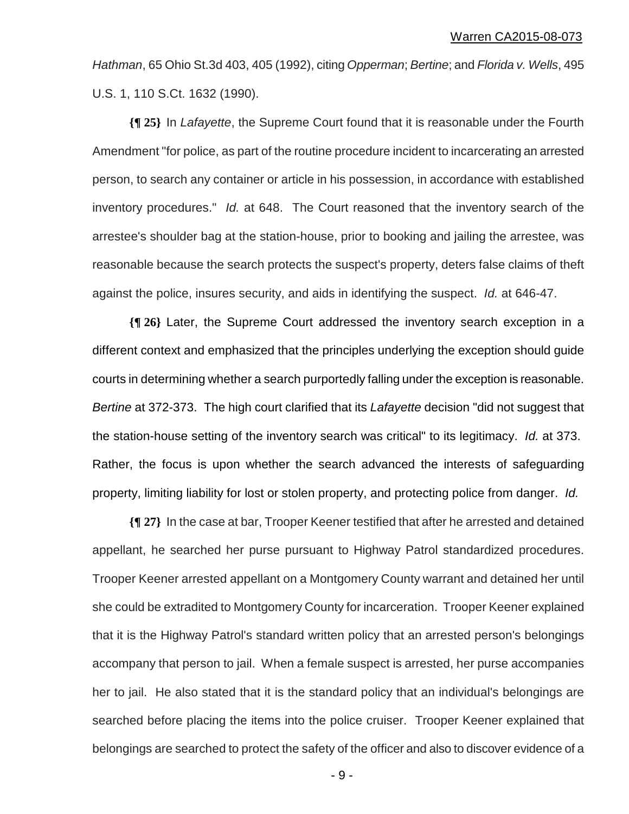*Hathman*, 65 Ohio St.3d 403, 405 (1992), citing *Opperman*; *Bertine*; and *Florida v. Wells*, 495 U.S. 1, 110 S.Ct. 1632 (1990).

**{¶ 25}** In *Lafayette*, the Supreme Court found that it is reasonable under the Fourth Amendment "for police, as part of the routine procedure incident to incarcerating an arrested person, to search any container or article in his possession, in accordance with established inventory procedures." *Id.* at 648. The Court reasoned that the inventory search of the arrestee's shoulder bag at the station-house, prior to booking and jailing the arrestee, was reasonable because the search protects the suspect's property, deters false claims of theft against the police, insures security, and aids in identifying the suspect. *Id.* at 646-47.

**{¶ 26}** Later, the Supreme Court addressed the inventory search exception in a different context and emphasized that the principles underlying the exception should guide courts in determining whether a search purportedly falling under the exception is reasonable. *Bertine* at 372-373. The high court clarified that its *Lafayette* decision "did not suggest that the station-house setting of the inventory search was critical" to its legitimacy. *Id.* at 373. Rather, the focus is upon whether the search advanced the interests of safeguarding property, limiting liability for lost or stolen property, and protecting police from danger. *Id.* 

**{¶ 27}** In the case at bar, Trooper Keener testified that after he arrested and detained appellant, he searched her purse pursuant to Highway Patrol standardized procedures. Trooper Keener arrested appellant on a Montgomery County warrant and detained her until she could be extradited to Montgomery County for incarceration. Trooper Keener explained that it is the Highway Patrol's standard written policy that an arrested person's belongings accompany that person to jail. When a female suspect is arrested, her purse accompanies her to jail. He also stated that it is the standard policy that an individual's belongings are searched before placing the items into the police cruiser. Trooper Keener explained that belongings are searched to protect the safety of the officer and also to discover evidence of a

- 9 -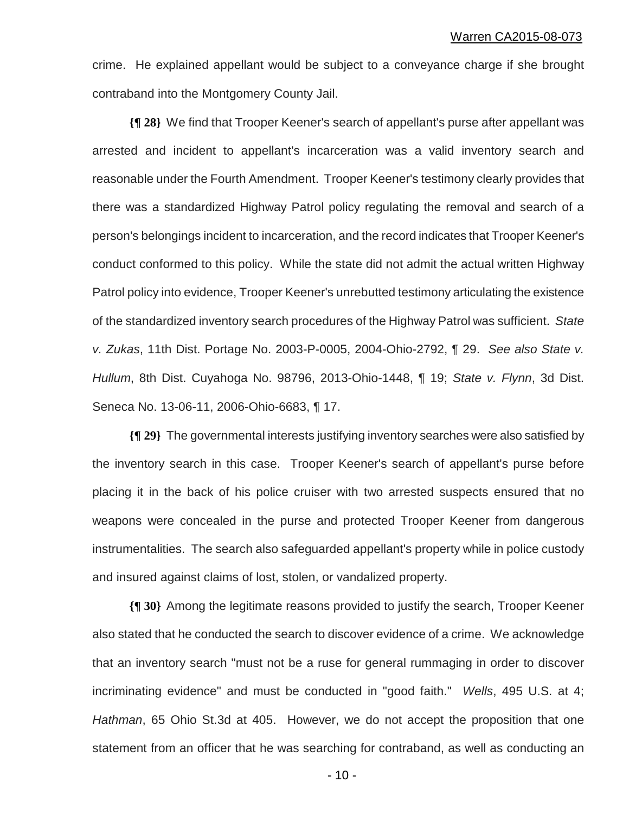crime. He explained appellant would be subject to a conveyance charge if she brought contraband into the Montgomery County Jail.

**{¶ 28}** We find that Trooper Keener's search of appellant's purse after appellant was arrested and incident to appellant's incarceration was a valid inventory search and reasonable under the Fourth Amendment. Trooper Keener's testimony clearly provides that there was a standardized Highway Patrol policy regulating the removal and search of a person's belongings incident to incarceration, and the record indicates that Trooper Keener's conduct conformed to this policy. While the state did not admit the actual written Highway Patrol policy into evidence, Trooper Keener's unrebutted testimony articulating the existence of the standardized inventory search procedures of the Highway Patrol was sufficient. *State v. Zukas*, 11th Dist. Portage No. 2003-P-0005, 2004-Ohio-2792, ¶ 29. *See also State v. Hullum*, 8th Dist. Cuyahoga No. 98796, 2013-Ohio-1448, ¶ 19; *State v. Flynn*, 3d Dist. Seneca No. 13-06-11, 2006-Ohio-6683, ¶ 17.

**{¶ 29}** The governmental interests justifying inventory searches were also satisfied by the inventory search in this case. Trooper Keener's search of appellant's purse before placing it in the back of his police cruiser with two arrested suspects ensured that no weapons were concealed in the purse and protected Trooper Keener from dangerous instrumentalities. The search also safeguarded appellant's property while in police custody and insured against claims of lost, stolen, or vandalized property.

**{¶ 30}** Among the legitimate reasons provided to justify the search, Trooper Keener also stated that he conducted the search to discover evidence of a crime. We acknowledge that an inventory search "must not be a ruse for general rummaging in order to discover incriminating evidence" and must be conducted in "good faith." *Wells*, 495 U.S. at 4; *Hathman*, 65 Ohio St.3d at 405. However, we do not accept the proposition that one statement from an officer that he was searching for contraband, as well as conducting an

 $- 10 -$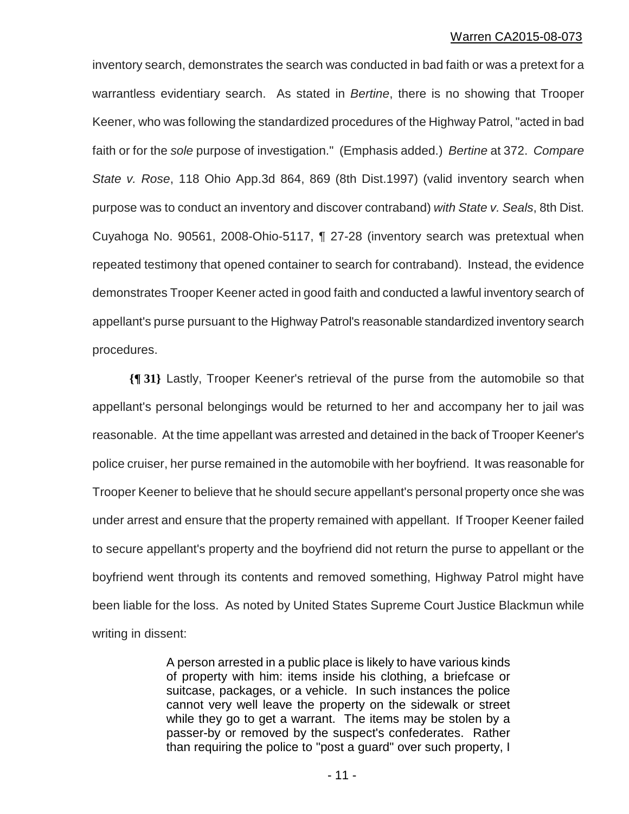inventory search, demonstrates the search was conducted in bad faith or was a pretext for a warrantless evidentiary search. As stated in *Bertine*, there is no showing that Trooper Keener, who was following the standardized procedures of the Highway Patrol, "acted in bad faith or for the *sole* purpose of investigation." (Emphasis added.) *Bertine* at 372. *Compare State v. Rose*, 118 Ohio App.3d 864, 869 (8th Dist.1997) (valid inventory search when purpose was to conduct an inventory and discover contraband) *with State v. Seals*, 8th Dist. Cuyahoga No. 90561, 2008-Ohio-5117, ¶ 27-28 (inventory search was pretextual when repeated testimony that opened container to search for contraband). Instead, the evidence demonstrates Trooper Keener acted in good faith and conducted a lawful inventory search of appellant's purse pursuant to the Highway Patrol's reasonable standardized inventory search procedures.

**{¶ 31}** Lastly, Trooper Keener's retrieval of the purse from the automobile so that appellant's personal belongings would be returned to her and accompany her to jail was reasonable. At the time appellant was arrested and detained in the back of Trooper Keener's police cruiser, her purse remained in the automobile with her boyfriend. It was reasonable for Trooper Keener to believe that he should secure appellant's personal property once she was under arrest and ensure that the property remained with appellant. If Trooper Keener failed to secure appellant's property and the boyfriend did not return the purse to appellant or the boyfriend went through its contents and removed something, Highway Patrol might have been liable for the loss. As noted by United States Supreme Court Justice Blackmun while writing in dissent:

> A person arrested in a public place is likely to have various kinds of property with him: items inside his clothing, a briefcase or suitcase, packages, or a vehicle. In such instances the police cannot very well leave the property on the sidewalk or street while they go to get a warrant. The items may be stolen by a passer-by or removed by the suspect's confederates. Rather than requiring the police to "post a guard" over such property, I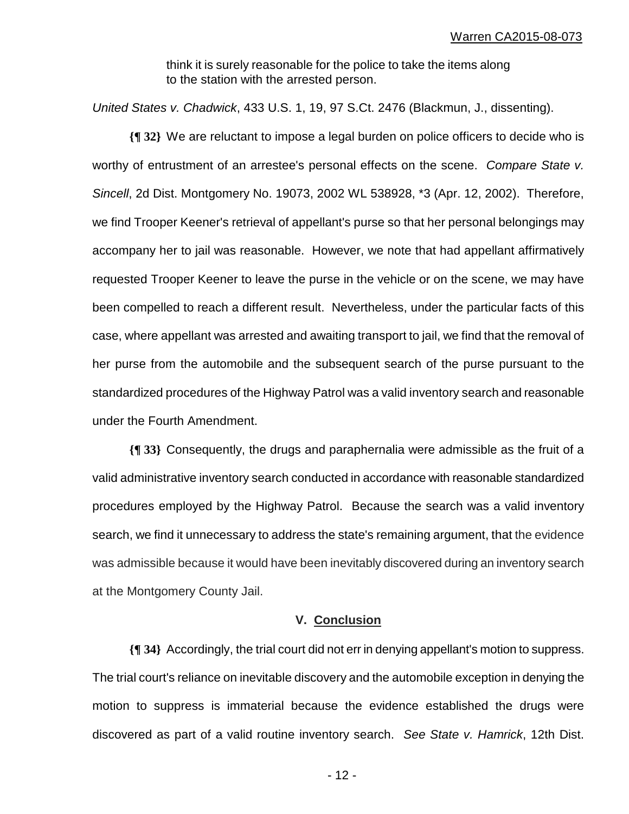think it is surely reasonable for the police to take the items along to the station with the arrested person.

*United States v. Chadwick*, 433 U.S. 1, 19, 97 S.Ct. 2476 (Blackmun, J., dissenting).

**{¶ 32}** We are reluctant to impose a legal burden on police officers to decide who is worthy of entrustment of an arrestee's personal effects on the scene. *Compare State v. Sincell*, 2d Dist. Montgomery No. 19073, 2002 WL 538928, \*3 (Apr. 12, 2002). Therefore, we find Trooper Keener's retrieval of appellant's purse so that her personal belongings may accompany her to jail was reasonable. However, we note that had appellant affirmatively requested Trooper Keener to leave the purse in the vehicle or on the scene, we may have been compelled to reach a different result. Nevertheless, under the particular facts of this case, where appellant was arrested and awaiting transport to jail, we find that the removal of her purse from the automobile and the subsequent search of the purse pursuant to the standardized procedures of the Highway Patrol was a valid inventory search and reasonable under the Fourth Amendment.

**{¶ 33}** Consequently, the drugs and paraphernalia were admissible as the fruit of a valid administrative inventory search conducted in accordance with reasonable standardized procedures employed by the Highway Patrol. Because the search was a valid inventory search, we find it unnecessary to address the state's remaining argument, that the evidence was admissible because it would have been inevitably discovered during an inventory search at the Montgomery County Jail.

## **V. Conclusion**

**{¶ 34}** Accordingly, the trial court did not err in denying appellant's motion to suppress. The trial court's reliance on inevitable discovery and the automobile exception in denying the motion to suppress is immaterial because the evidence established the drugs were discovered as part of a valid routine inventory search. *See State v. Hamrick*, 12th Dist.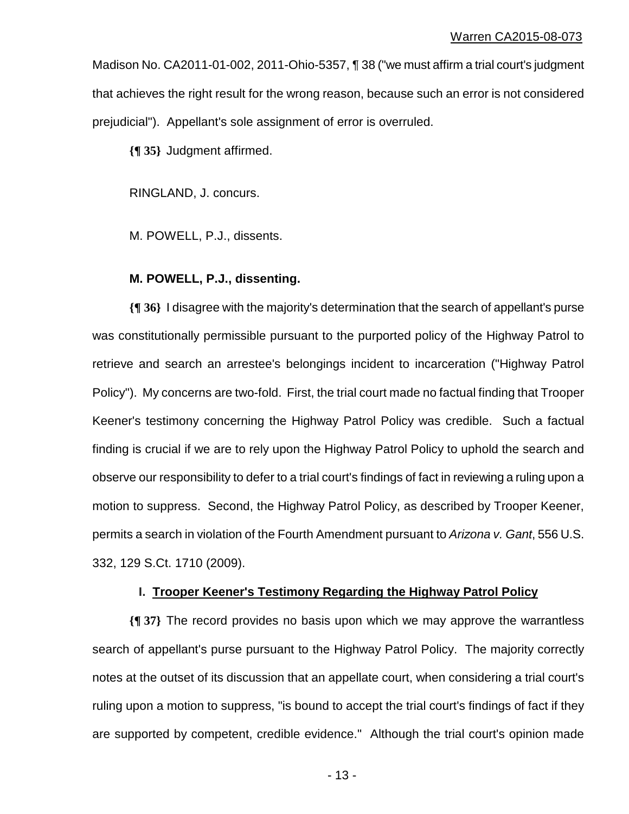Madison No. CA2011-01-002, 2011-Ohio-5357, ¶ 38 ("we must affirm a trial court's judgment that achieves the right result for the wrong reason, because such an error is not considered prejudicial"). Appellant's sole assignment of error is overruled.

**{¶ 35}** Judgment affirmed.

RINGLAND, J. concurs.

M. POWELL, P.J., dissents.

## **M. POWELL, P.J., dissenting.**

**{¶ 36}** I disagree with the majority's determination that the search of appellant's purse was constitutionally permissible pursuant to the purported policy of the Highway Patrol to retrieve and search an arrestee's belongings incident to incarceration ("Highway Patrol Policy"). My concerns are two-fold. First, the trial court made no factual finding that Trooper Keener's testimony concerning the Highway Patrol Policy was credible. Such a factual finding is crucial if we are to rely upon the Highway Patrol Policy to uphold the search and observe our responsibility to defer to a trial court's findings of fact in reviewing a ruling upon a motion to suppress. Second, the Highway Patrol Policy, as described by Trooper Keener, permits a search in violation of the Fourth Amendment pursuant to *Arizona v. Gant*, 556 U.S. 332, 129 S.Ct. 1710 (2009).

# **I. Trooper Keener's Testimony Regarding the Highway Patrol Policy**

**{¶ 37}** The record provides no basis upon which we may approve the warrantless search of appellant's purse pursuant to the Highway Patrol Policy. The majority correctly notes at the outset of its discussion that an appellate court, when considering a trial court's ruling upon a motion to suppress, "is bound to accept the trial court's findings of fact if they are supported by competent, credible evidence." Although the trial court's opinion made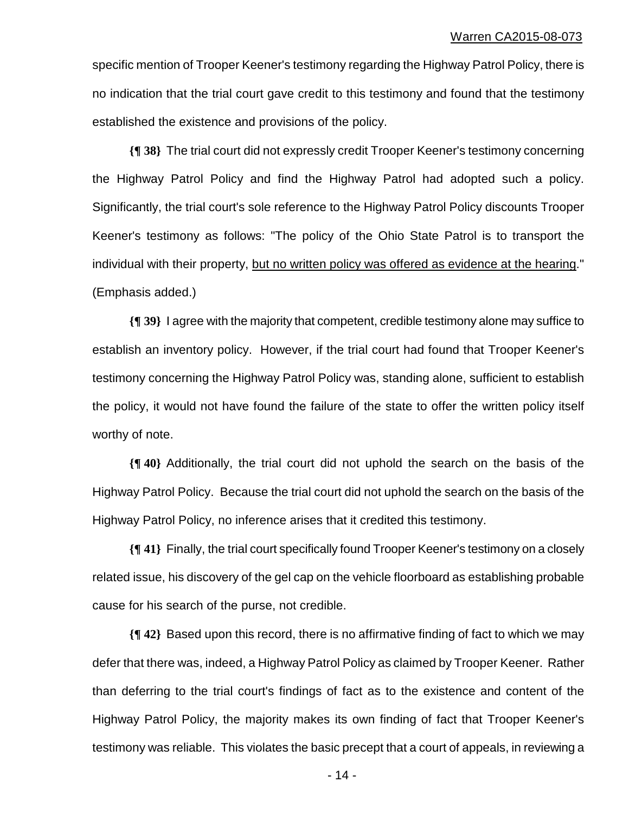specific mention of Trooper Keener's testimony regarding the Highway Patrol Policy, there is no indication that the trial court gave credit to this testimony and found that the testimony established the existence and provisions of the policy.

**{¶ 38}** The trial court did not expressly credit Trooper Keener's testimony concerning the Highway Patrol Policy and find the Highway Patrol had adopted such a policy. Significantly, the trial court's sole reference to the Highway Patrol Policy discounts Trooper Keener's testimony as follows: "The policy of the Ohio State Patrol is to transport the individual with their property, but no written policy was offered as evidence at the hearing." (Emphasis added.)

**{¶ 39}** I agree with the majority that competent, credible testimony alone may suffice to establish an inventory policy. However, if the trial court had found that Trooper Keener's testimony concerning the Highway Patrol Policy was, standing alone, sufficient to establish the policy, it would not have found the failure of the state to offer the written policy itself worthy of note.

**{¶ 40}** Additionally, the trial court did not uphold the search on the basis of the Highway Patrol Policy. Because the trial court did not uphold the search on the basis of the Highway Patrol Policy, no inference arises that it credited this testimony.

**{¶ 41}** Finally, the trial court specifically found Trooper Keener's testimony on a closely related issue, his discovery of the gel cap on the vehicle floorboard as establishing probable cause for his search of the purse, not credible.

**{¶ 42}** Based upon this record, there is no affirmative finding of fact to which we may defer that there was, indeed, a Highway Patrol Policy as claimed by Trooper Keener. Rather than deferring to the trial court's findings of fact as to the existence and content of the Highway Patrol Policy, the majority makes its own finding of fact that Trooper Keener's testimony was reliable. This violates the basic precept that a court of appeals, in reviewing a

 $- 14 -$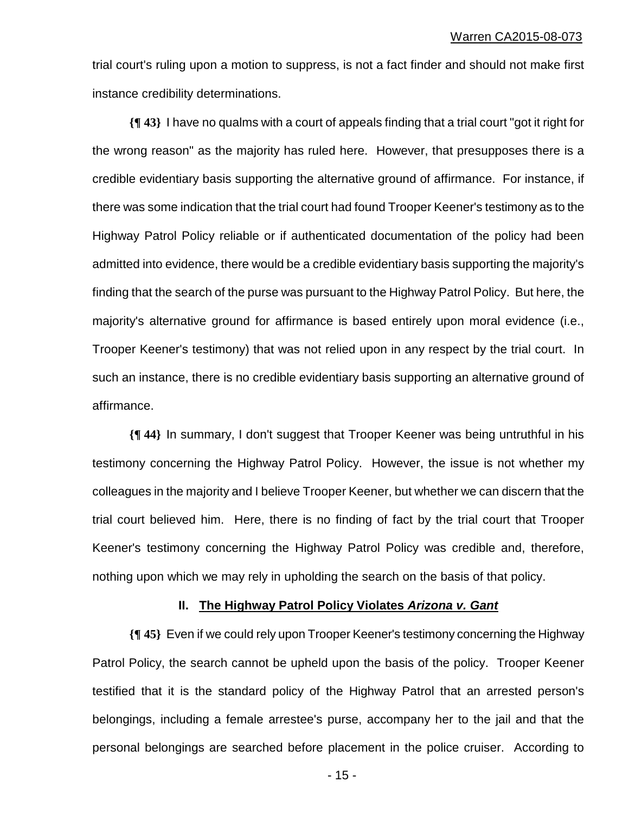trial court's ruling upon a motion to suppress, is not a fact finder and should not make first instance credibility determinations.

**{¶ 43}** I have no qualms with a court of appeals finding that a trial court "got it right for the wrong reason" as the majority has ruled here. However, that presupposes there is a credible evidentiary basis supporting the alternative ground of affirmance. For instance, if there was some indication that the trial court had found Trooper Keener's testimony as to the Highway Patrol Policy reliable or if authenticated documentation of the policy had been admitted into evidence, there would be a credible evidentiary basis supporting the majority's finding that the search of the purse was pursuant to the Highway Patrol Policy. But here, the majority's alternative ground for affirmance is based entirely upon moral evidence (i.e., Trooper Keener's testimony) that was not relied upon in any respect by the trial court. In such an instance, there is no credible evidentiary basis supporting an alternative ground of affirmance.

**{¶ 44}** In summary, I don't suggest that Trooper Keener was being untruthful in his testimony concerning the Highway Patrol Policy. However, the issue is not whether my colleagues in the majority and I believe Trooper Keener, but whether we can discern that the trial court believed him. Here, there is no finding of fact by the trial court that Trooper Keener's testimony concerning the Highway Patrol Policy was credible and, therefore, nothing upon which we may rely in upholding the search on the basis of that policy.

# **II. The Highway Patrol Policy Violates** *Arizona v. Gant*

**{¶ 45}** Even if we could rely upon Trooper Keener's testimony concerning the Highway Patrol Policy, the search cannot be upheld upon the basis of the policy. Trooper Keener testified that it is the standard policy of the Highway Patrol that an arrested person's belongings, including a female arrestee's purse, accompany her to the jail and that the personal belongings are searched before placement in the police cruiser. According to

 $- 15 -$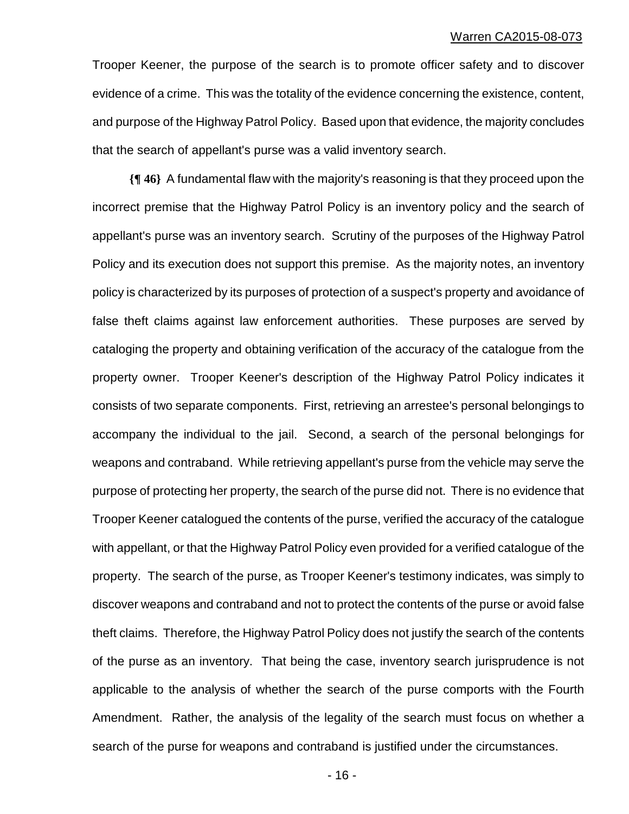Trooper Keener, the purpose of the search is to promote officer safety and to discover evidence of a crime. This was the totality of the evidence concerning the existence, content, and purpose of the Highway Patrol Policy. Based upon that evidence, the majority concludes that the search of appellant's purse was a valid inventory search.

**{¶ 46}** A fundamental flaw with the majority's reasoning is that they proceed upon the incorrect premise that the Highway Patrol Policy is an inventory policy and the search of appellant's purse was an inventory search. Scrutiny of the purposes of the Highway Patrol Policy and its execution does not support this premise. As the majority notes, an inventory policy is characterized by its purposes of protection of a suspect's property and avoidance of false theft claims against law enforcement authorities. These purposes are served by cataloging the property and obtaining verification of the accuracy of the catalogue from the property owner. Trooper Keener's description of the Highway Patrol Policy indicates it consists of two separate components. First, retrieving an arrestee's personal belongings to accompany the individual to the jail. Second, a search of the personal belongings for weapons and contraband. While retrieving appellant's purse from the vehicle may serve the purpose of protecting her property, the search of the purse did not. There is no evidence that Trooper Keener catalogued the contents of the purse, verified the accuracy of the catalogue with appellant, or that the Highway Patrol Policy even provided for a verified catalogue of the property. The search of the purse, as Trooper Keener's testimony indicates, was simply to discover weapons and contraband and not to protect the contents of the purse or avoid false theft claims. Therefore, the Highway Patrol Policy does not justify the search of the contents of the purse as an inventory. That being the case, inventory search jurisprudence is not applicable to the analysis of whether the search of the purse comports with the Fourth Amendment. Rather, the analysis of the legality of the search must focus on whether a search of the purse for weapons and contraband is justified under the circumstances.

 $- 16 -$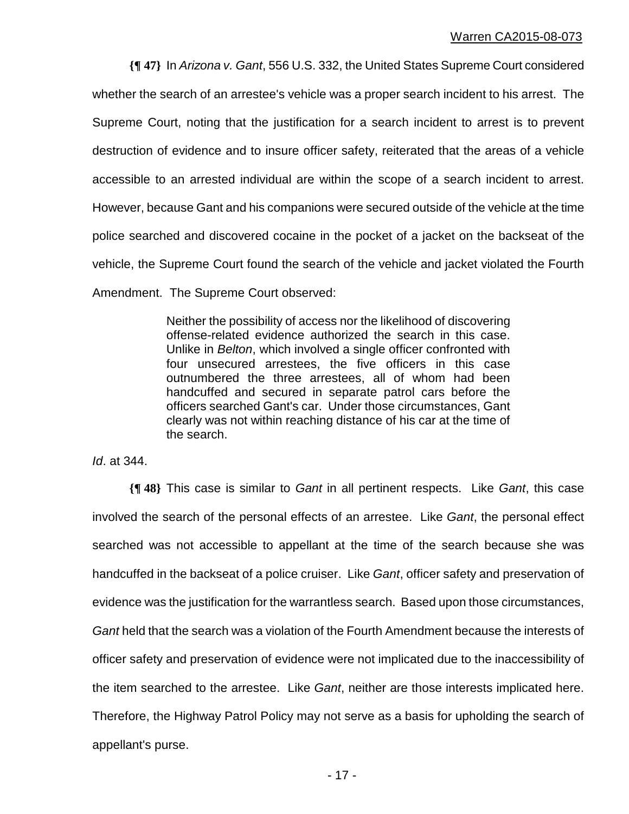**{¶ 47}** In *Arizona v. Gant*, 556 U.S. 332, the United States Supreme Court considered whether the search of an arrestee's vehicle was a proper search incident to his arrest. The Supreme Court, noting that the justification for a search incident to arrest is to prevent destruction of evidence and to insure officer safety, reiterated that the areas of a vehicle accessible to an arrested individual are within the scope of a search incident to arrest. However, because Gant and his companions were secured outside of the vehicle at the time police searched and discovered cocaine in the pocket of a jacket on the backseat of the vehicle, the Supreme Court found the search of the vehicle and jacket violated the Fourth Amendment. The Supreme Court observed:

> Neither the possibility of access nor the likelihood of discovering offense-related evidence authorized the search in this case. Unlike in *Belton*, which involved a single officer confronted with four unsecured arrestees, the five officers in this case outnumbered the three arrestees, all of whom had been handcuffed and secured in separate patrol cars before the officers searched Gant's car. Under those circumstances, Gant clearly was not within reaching distance of his car at the time of the search.

*Id*. at 344.

**{¶ 48}** This case is similar to *Gant* in all pertinent respects. Like *Gant*, this case involved the search of the personal effects of an arrestee. Like *Gant*, the personal effect searched was not accessible to appellant at the time of the search because she was handcuffed in the backseat of a police cruiser. Like *Gant*, officer safety and preservation of evidence was the justification for the warrantless search. Based upon those circumstances, *Gant* held that the search was a violation of the Fourth Amendment because the interests of officer safety and preservation of evidence were not implicated due to the inaccessibility of the item searched to the arrestee. Like *Gant*, neither are those interests implicated here. Therefore, the Highway Patrol Policy may not serve as a basis for upholding the search of appellant's purse.